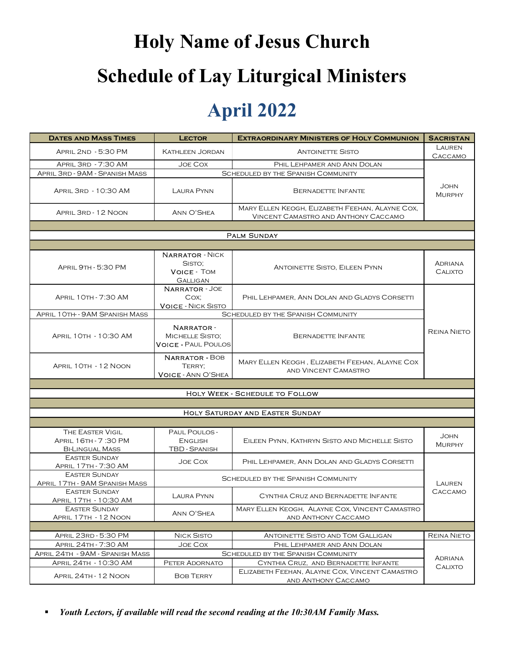# Holy Name of Jesus Church Schedule of Lay Liturgical Ministers

#### April 2022

|                                                                    |                                                                  | <b>Holy Name of Jesus Church</b>                                                        |                              |
|--------------------------------------------------------------------|------------------------------------------------------------------|-----------------------------------------------------------------------------------------|------------------------------|
|                                                                    |                                                                  |                                                                                         |                              |
|                                                                    |                                                                  | <b>Schedule of Lay Liturgical Ministers</b>                                             |                              |
|                                                                    |                                                                  |                                                                                         |                              |
|                                                                    |                                                                  | <b>April 2022</b>                                                                       |                              |
|                                                                    |                                                                  |                                                                                         |                              |
| <b>DATES AND MASS TIMES</b>                                        | <b>LECTOR</b>                                                    | <b>EXTRAORDINARY MINISTERS OF HOLY COMMUNION</b><br><b>ANTOINETTE SISTO</b>             | <b>SACRISTAN</b><br>LAUREN   |
| APRIL 2ND - 5:30 PM<br>APRIL 3RD - 7:30 AM                         | <b>KATHLEEN JORDAN</b><br>JOE COX                                | PHIL LEHPAMER AND ANN DOLAN                                                             | CACCAMO                      |
| APRIL 3RD - 9AM - SPANISH MASS                                     |                                                                  | <b>SCHEDULED BY THE SPANISH COMMUNITY</b>                                               |                              |
| APRIL 3RD - 10:30 AM                                               | LAURA PYNN                                                       | <b>BERNADETTE INFANTE</b>                                                               | <b>JOHN</b><br><b>MURPHY</b> |
| APRIL 3RD - 12 NOON                                                | ANN O'SHEA                                                       | MARY ELLEN KEOGH, ELIZABETH FEEHAN, ALAYNE COX,<br>VINCENT CAMASTRO AND ANTHONY CACCAMO |                              |
|                                                                    |                                                                  | <b>PALM SUNDAY</b>                                                                      |                              |
|                                                                    |                                                                  |                                                                                         |                              |
|                                                                    | <b>NARRATOR - NICK</b><br>SISTO;                                 |                                                                                         | <b>ADRIANA</b>               |
| <b>APRIL 9TH - 5:30 PM</b>                                         | <b>VOICE - TOM</b>                                               | <b>ANTOINETTE SISTO, EILEEN PYNN</b>                                                    | <b>CALIXTO</b>               |
| <b>APRIL 10TH - 7:30 AM</b>                                        | <b>GALLIGAN</b><br><b>NARRATOR - JOE</b>                         | PHIL LEHPAMER, ANN DOLAN AND GLADYS CORSETTI                                            |                              |
|                                                                    | COX;<br><b>VOICE - NICK SISTO</b>                                |                                                                                         |                              |
| APRIL 10TH - 9AM SPANISH MASS                                      |                                                                  | SCHEDULED BY THE SPANISH COMMUNITY                                                      |                              |
| APRIL 10TH - 10:30 AM                                              | <b>NARRATOR</b><br>MICHELLE SISTO;<br><b>VOICE - PAUL POULOS</b> | <b>BERNADETTE INFANTE</b>                                                               | <b>REINA NIETO</b>           |
| APRIL 10TH - 12 NOON                                               | <b>NARRATOR - BOB</b><br>TERRY;                                  | MARY ELLEN KEOGH, ELIZABETH FEEHAN, ALAYNE COX<br>AND VINCENT CAMASTRO                  |                              |
|                                                                    | <b>VOICE - ANN O'SHEA</b>                                        |                                                                                         |                              |
|                                                                    |                                                                  | HOLY WEEK - SCHEDULE TO FOLLOW                                                          |                              |
|                                                                    |                                                                  | HOLY SATURDAY AND EASTER SUNDAY                                                         |                              |
|                                                                    |                                                                  |                                                                                         |                              |
| THE EASTER VIGIL<br>APRIL 16TH - 7:30 PM<br><b>BI-LINGUAL MASS</b> | PAUL POULOS-<br><b>ENGLISH</b><br><b>TBD - SPANISH</b>           | EILEEN PYNN, KATHRYN SISTO AND MICHELLE SISTO                                           | John<br>MURPHY               |
| <b>EASTER SUNDAY</b><br>APRIL 17TH - 7:30 AM                       | <b>JOE COX</b>                                                   | PHIL LEHPAMER, ANN DOLAN AND GLADYS CORSETTI                                            |                              |
| <b>EASTER SUNDAY</b><br>APRIL 17TH - 9AM SPANISH MASS              |                                                                  | <b>SCHEDULED BY THE SPANISH COMMUNITY</b>                                               | LAUREN                       |
| <b>EASTER SUNDAY</b><br>APRIL 17TH - 10:30 AM                      | LAURA PYNN                                                       | CYNTHIA CRUZ AND BERNADETTE INFANTE                                                     | CACCAMO                      |
| <b>EASTER SUNDAY</b>                                               | ANN O'SHEA                                                       | MARY ELLEN KEOGH, ALAYNE COX, VINCENT CAMASTRO                                          |                              |
| APRIL 17TH - 12 NOON                                               |                                                                  | AND ANTHONY CACCAMO                                                                     |                              |
| APRIL 23RD - 5:30 PM                                               | <b>NICK SISTO</b>                                                | ANTOINETTE SISTO AND TOM GALLIGAN                                                       | <b>REINA NIETO</b>           |
| APRIL 24TH - 7:30 AM<br>APRIL 24TH - 9AM - SPANISH MASS            | JOE COX                                                          | PHIL LEHPAMER AND ANN DOLAN<br>SCHEDULED BY THE SPANISH COMMUNITY                       |                              |
| APRIL 24TH - 10:30 AM                                              | PETER ADORNATO                                                   | CYNTHIA CRUZ, AND BERNADETTE INFANTE                                                    | ADRIANA<br>Calixto           |
| APRIL 24TH - 12 NOON                                               | <b>BOB TERRY</b>                                                 | ELIZABETH FEEHAN, ALAYNE COX, VINCENT CAMASTRO                                          |                              |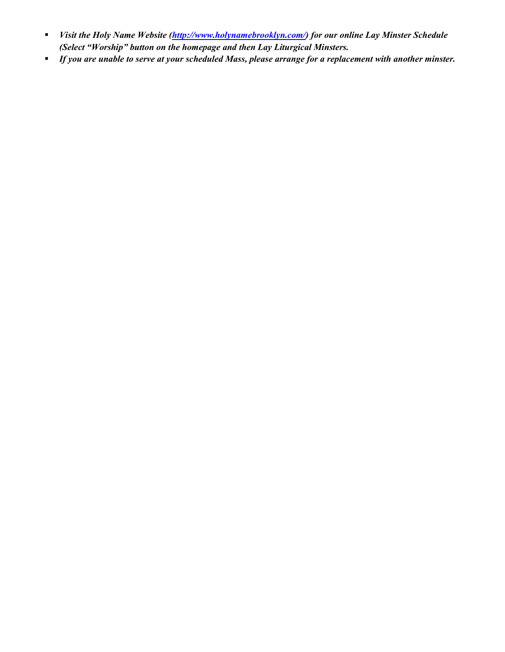- Visit the Holy Name Website (http://www.holynamebrooklyn.com/) for our online Lay Minster Schedule (Select "Worship" button on the homepage and then Lay Liturgical Minsters.
- **If you are unable to serve at your scheduled Mass, please arrange for a replacement with another minster.**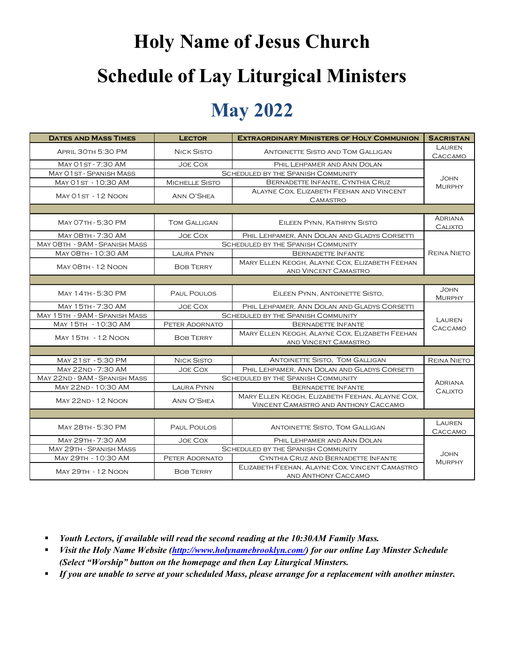# Holy Name of Jesus Church Schedule of Lay Liturgical Ministers

#### May 2022

| <b>Schedule of Lay Liturgical Ministers</b>         |                                                                                                      |                                                                                         |                    |  |  |  |
|-----------------------------------------------------|------------------------------------------------------------------------------------------------------|-----------------------------------------------------------------------------------------|--------------------|--|--|--|
| <b>May 2022</b>                                     |                                                                                                      |                                                                                         |                    |  |  |  |
| <b>DATES AND MASS TIMES</b>                         | <b>LECTOR</b>                                                                                        | <b>EXTRAORDINARY MINISTERS OF HOLY COMMUNION</b>                                        | <b>SACRISTAN</b>   |  |  |  |
| APRIL 30TH 5:30 PM                                  | <b>NICK SISTO</b>                                                                                    | ANTOINETTE SISTO AND TOM GALLIGAN                                                       | Lauren             |  |  |  |
|                                                     |                                                                                                      |                                                                                         | CACCAMO            |  |  |  |
| MAY 01 ST - 7:30 AM<br>MAY 01 ST - SPANISH MASS     | JOE COX                                                                                              | PHIL LEHPAMER AND ANN DOLAN<br><b>SCHEDULED BY THE SPANISH COMMUNITY</b>                | John<br>MURPHY     |  |  |  |
| MAY 01ST - 10:30 AM                                 | MICHELLE SISTO                                                                                       | BERNADETTE INFANTE, CYNTHIA CRUZ                                                        |                    |  |  |  |
| MAY 01 ST - 12 NOON                                 | ANN O'SHEA                                                                                           | ALAYNE COX, ELIZABETH FEEHAN AND VINCENT                                                |                    |  |  |  |
|                                                     |                                                                                                      | <b>CAMASTRO</b>                                                                         |                    |  |  |  |
| MAY 07TH - 5:30 PM                                  | <b>TOM GALLIGAN</b>                                                                                  | EILEEN PYNN, KATHRYN SISTO                                                              | ADRIANA            |  |  |  |
|                                                     |                                                                                                      |                                                                                         | <b>CALIXTO</b>     |  |  |  |
| MAY 08TH - 7:30 AM<br>MAY O8TH - 9AM - SPANISH MASS | PHIL LEHPAMER, ANN DOLAN AND GLADYS CORSETTI<br>JOE COX<br><b>SCHEDULED BY THE SPANISH COMMUNITY</b> |                                                                                         |                    |  |  |  |
| MAY 08TH - 10:30 AM                                 | <b>LAURA PYNN</b>                                                                                    | <b>BERNADETTE INFANTE</b>                                                               | <b>REINA NIETO</b> |  |  |  |
|                                                     |                                                                                                      | MARY ELLEN KEOGH, ALAYNE COX, ELIZABETH FEEHAN                                          |                    |  |  |  |
| MAY 08TH - 12 NOON                                  | <b>BOB TERRY</b>                                                                                     | AND VINCENT CAMASTRO                                                                    |                    |  |  |  |
|                                                     |                                                                                                      |                                                                                         | John               |  |  |  |
| MAY 14TH - 5:30 PM                                  | PAUL POULOS                                                                                          | EILEEN PYNN, ANTOINETTE SISTO,                                                          | MURPHY             |  |  |  |
| MAY 15TH - 7:30 AM                                  | <b>JOE COX</b>                                                                                       | PHIL LEHPAMER, ANN DOLAN AND GLADYS CORSETTI                                            |                    |  |  |  |
| MAY 15TH - 9AM - SPANISH MASS                       |                                                                                                      | SCHEDULED BY THE SPANISH COMMUNITY                                                      | LAUREN             |  |  |  |
| MAY 15TH - 10:30 AM                                 | PETER ADORNATO                                                                                       | BERNADETTE INFANTE<br>MARY ELLEN KEOGH, ALAYNE COX, ELIZABETH FEEHAN                    | CACCAMO            |  |  |  |
| MAY 15TH - 12 NOON                                  | <b>BOB TERRY</b>                                                                                     | AND VINCENT CAMASTRO                                                                    |                    |  |  |  |
|                                                     |                                                                                                      |                                                                                         |                    |  |  |  |
| MAY 21ST - 5:30 PM                                  | <b>NICK SISTO</b>                                                                                    | ANTOINETTE SISTO, TOM GALLIGAN                                                          | <b>REINA NIETO</b> |  |  |  |
| MAY 22ND - 7:30 AM                                  | JOE COX                                                                                              | PHIL LEHPAMER, ANN DOLAN AND GLADYS CORSETTI                                            |                    |  |  |  |
| MAY 22ND - 9AM - SPANISH MASS                       |                                                                                                      | SCHEDULED BY THE SPANISH COMMUNITY                                                      | <b>ADRIANA</b>     |  |  |  |
| MAY 22ND - 10:30 AM                                 | <b>LAURA PYNN</b>                                                                                    | <b>BERNADETTE INFANTE</b>                                                               | CALIXTO            |  |  |  |
| MAY 22ND - 12 NOON                                  | ANN O'SHEA                                                                                           | MARY ELLEN KEOGH, ELIZABETH FEEHAN, ALAYNE COX,<br>VINCENT CAMASTRO AND ANTHONY CACCAMO |                    |  |  |  |
|                                                     |                                                                                                      |                                                                                         |                    |  |  |  |
| MAY 28TH - 5:30 PM                                  | PAUL POULOS                                                                                          | <b>ANTOINETTE SISTO, TOM GALLIGAN</b>                                                   | LAUREN             |  |  |  |
|                                                     |                                                                                                      |                                                                                         | CACCAMO            |  |  |  |
| MAY 29TH - 7:30 AM                                  | Joe Cox                                                                                              | PHIL LEHPAMER AND ANN DOLAN                                                             |                    |  |  |  |
| MAY 29TH - SPANISH MASS<br>MAY 29TH - 10:30 AM      | PETER ADORNATO                                                                                       | SCHEDULED BY THE SPANISH COMMUNITY<br>CYNTHIA CRUZ AND BERNADETTE INFANTE               | John               |  |  |  |
| <b>MAY 29TH - 12 NOON</b>                           | <b>BOB TERRY</b>                                                                                     | ELIZABETH FEEHAN, ALAYNE COX, VINCENT CAMASTRO                                          | MURPHY             |  |  |  |
|                                                     |                                                                                                      | AND ANTHONY CACCAMO                                                                     |                    |  |  |  |

- **•** Youth Lectors, if available will read the second reading at the 10:30AM Family Mass.
- Visit the Holy Name Website (http://www.holynamebrooklyn.com/) for our online Lay Minster Schedule (Select "Worship" button on the homepage and then Lay Liturgical Minsters.
- If you are unable to serve at your scheduled Mass, please arrange for a replacement with another minster.